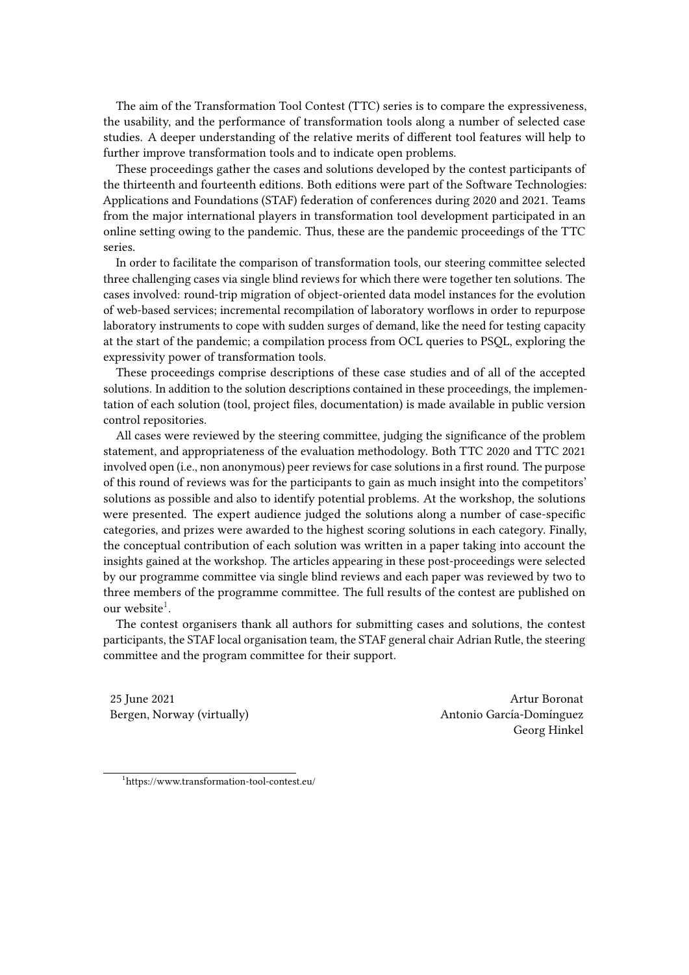The aim of the Transformation Tool Contest (TTC) series is to compare the expressiveness, the usability, and the performance of transformation tools along a number of selected case studies. A deeper understanding of the relative merits of different tool features will help to further improve transformation tools and to indicate open problems.

These proceedings gather the cases and solutions developed by the contest participants of the thirteenth and fourteenth editions. Both editions were part of the Software Technologies: Applications and Foundations (STAF) federation of conferences during 2020 and 2021. Teams from the major international players in transformation tool development participated in an online setting owing to the pandemic. Thus, these are the pandemic proceedings of the TTC series.

In order to facilitate the comparison of transformation tools, our steering committee selected three challenging cases via single blind reviews for which there were together ten solutions. The cases involved: round-trip migration of object-oriented data model instances for the evolution of web-based services; incremental recompilation of laboratory worflows in order to repurpose laboratory instruments to cope with sudden surges of demand, like the need for testing capacity at the start of the pandemic; a compilation process from OCL queries to PSQL, exploring the expressivity power of transformation tools.

These proceedings comprise descriptions of these case studies and of all of the accepted solutions. In addition to the solution descriptions contained in these proceedings, the implementation of each solution (tool, project files, documentation) is made available in public version control repositories.

All cases were reviewed by the steering committee, judging the significance of the problem statement, and appropriateness of the evaluation methodology. Both TTC 2020 and TTC 2021 involved open (i.e., non anonymous) peer reviews for case solutions in a first round. The purpose of this round of reviews was for the participants to gain as much insight into the competitors' solutions as possible and also to identify potential problems. At the workshop, the solutions were presented. The expert audience judged the solutions along a number of case-specific categories, and prizes were awarded to the highest scoring solutions in each category. Finally, the conceptual contribution of each solution was written in a paper taking into account the insights gained at the workshop. The articles appearing in these post-proceedings were selected by our programme committee via single blind reviews and each paper was reviewed by two to three members of the programme committee. The full results of the contest are published on our website<sup>[1](#page-0-0)</sup>.

The contest organisers thank all authors for submitting cases and solutions, the contest participants, the STAF local organisation team, the STAF general chair Adrian Rutle, the steering committee and the program committee for their support.

25 June 2021 Artur Boronat

Bergen, Norway (virtually) and a metal of the Antonio García-Domínguez Georg Hinkel

<span id="page-0-0"></span>1 https://www.transformation-tool-contest.eu/